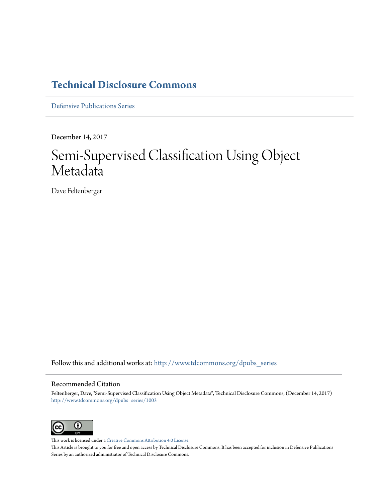### **[Technical Disclosure Commons](http://www.tdcommons.org?utm_source=www.tdcommons.org%2Fdpubs_series%2F1003&utm_medium=PDF&utm_campaign=PDFCoverPages)**

[Defensive Publications Series](http://www.tdcommons.org/dpubs_series?utm_source=www.tdcommons.org%2Fdpubs_series%2F1003&utm_medium=PDF&utm_campaign=PDFCoverPages)

December 14, 2017

## Semi-Supervised Classification Using Object Metadata

Dave Feltenberger

Follow this and additional works at: [http://www.tdcommons.org/dpubs\\_series](http://www.tdcommons.org/dpubs_series?utm_source=www.tdcommons.org%2Fdpubs_series%2F1003&utm_medium=PDF&utm_campaign=PDFCoverPages)

#### Recommended Citation

Feltenberger, Dave, "Semi-Supervised Classification Using Object Metadata", Technical Disclosure Commons, (December 14, 2017) [http://www.tdcommons.org/dpubs\\_series/1003](http://www.tdcommons.org/dpubs_series/1003?utm_source=www.tdcommons.org%2Fdpubs_series%2F1003&utm_medium=PDF&utm_campaign=PDFCoverPages)



This work is licensed under a [Creative Commons Attribution 4.0 License.](http://creativecommons.org/licenses/by/4.0/deed.en_US) This Article is brought to you for free and open access by Technical Disclosure Commons. It has been accepted for inclusion in Defensive Publications Series by an authorized administrator of Technical Disclosure Commons.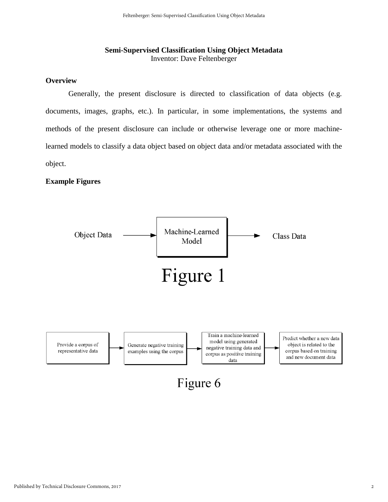#### **Semi-Supervised Classification Using Object Metadata**  Inventor: Dave Feltenberger

#### **Overview**

Generally, the present disclosure is directed to classification of data objects (e.g. documents, images, graphs, etc.). In particular, in some implementations, the systems and methods of the present disclosure can include or otherwise leverage one or more machinelearned models to classify a data object based on object data and/or metadata associated with the object.

#### **Example Figures**

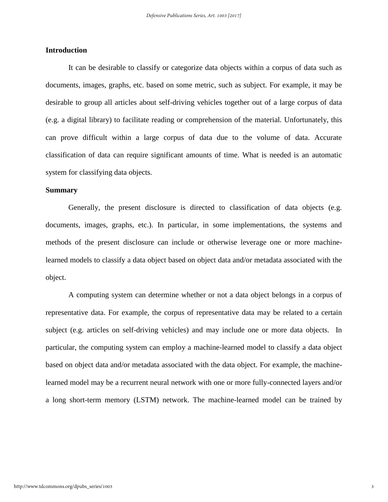#### **Introduction**

It can be desirable to classify or categorize data objects within a corpus of data such as documents, images, graphs, etc. based on some metric, such as subject. For example, it may be desirable to group all articles about self-driving vehicles together out of a large corpus of data (e.g. a digital library) to facilitate reading or comprehension of the material. Unfortunately, this can prove difficult within a large corpus of data due to the volume of data. Accurate classification of data can require significant amounts of time. What is needed is an automatic system for classifying data objects.

#### **Summary**

Generally, the present disclosure is directed to classification of data objects (e.g. documents, images, graphs, etc.). In particular, in some implementations, the systems and methods of the present disclosure can include or otherwise leverage one or more machinelearned models to classify a data object based on object data and/or metadata associated with the object.

A computing system can determine whether or not a data object belongs in a corpus of representative data. For example, the corpus of representative data may be related to a certain subject (e.g. articles on self-driving vehicles) and may include one or more data objects. In particular, the computing system can employ a machine-learned model to classify a data object based on object data and/or metadata associated with the data object. For example, the machinelearned model may be a recurrent neural network with one or more fully-connected layers and/or a long short-term memory (LSTM) network. The machine-learned model can be trained by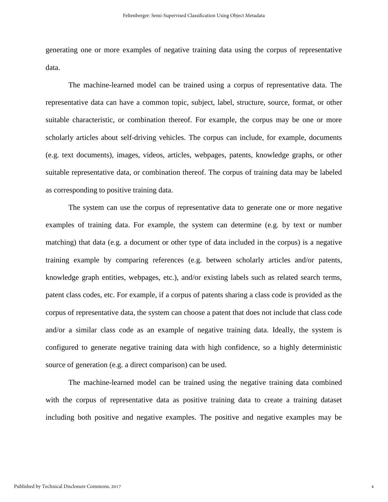generating one or more examples of negative training data using the corpus of representative data.

The machine-learned model can be trained using a corpus of representative data. The representative data can have a common topic, subject, label, structure, source, format, or other suitable characteristic, or combination thereof. For example, the corpus may be one or more scholarly articles about self-driving vehicles. The corpus can include, for example, documents (e.g. text documents), images, videos, articles, webpages, patents, knowledge graphs, or other suitable representative data, or combination thereof. The corpus of training data may be labeled as corresponding to positive training data.

The system can use the corpus of representative data to generate one or more negative examples of training data. For example, the system can determine (e.g. by text or number matching) that data (e.g. a document or other type of data included in the corpus) is a negative training example by comparing references (e.g. between scholarly articles and/or patents, knowledge graph entities, webpages, etc.), and/or existing labels such as related search terms, patent class codes, etc. For example, if a corpus of patents sharing a class code is provided as the corpus of representative data, the system can choose a patent that does not include that class code and/or a similar class code as an example of negative training data. Ideally, the system is configured to generate negative training data with high confidence, so a highly deterministic source of generation (e.g. a direct comparison) can be used.

The machine-learned model can be trained using the negative training data combined with the corpus of representative data as positive training data to create a training dataset including both positive and negative examples. The positive and negative examples may be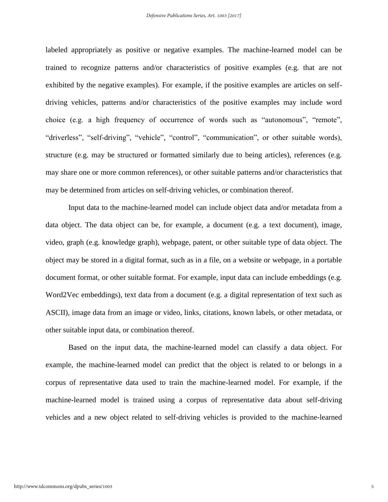labeled appropriately as positive or negative examples. The machine-learned model can be trained to recognize patterns and/or characteristics of positive examples (e.g. that are not exhibited by the negative examples). For example, if the positive examples are articles on selfdriving vehicles, patterns and/or characteristics of the positive examples may include word choice (e.g. a high frequency of occurrence of words such as "autonomous", "remote", "driverless", "self-driving", "vehicle", "control", "communication", or other suitable words), structure (e.g. may be structured or formatted similarly due to being articles), references (e.g. may share one or more common references), or other suitable patterns and/or characteristics that may be determined from articles on self-driving vehicles, or combination thereof.

Input data to the machine-learned model can include object data and/or metadata from a data object. The data object can be, for example, a document (e.g. a text document), image, video, graph (e.g. knowledge graph), webpage, patent, or other suitable type of data object. The object may be stored in a digital format, such as in a file, on a website or webpage, in a portable document format, or other suitable format. For example, input data can include embeddings (e.g. Word2Vec embeddings), text data from a document (e.g. a digital representation of text such as ASCII), image data from an image or video, links, citations, known labels, or other metadata, or other suitable input data, or combination thereof.

Based on the input data, the machine-learned model can classify a data object. For example, the machine-learned model can predict that the object is related to or belongs in a corpus of representative data used to train the machine-learned model. For example, if the machine-learned model is trained using a corpus of representative data about self-driving vehicles and a new object related to self-driving vehicles is provided to the machine-learned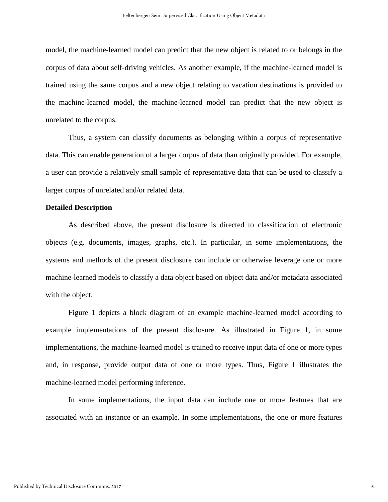model, the machine-learned model can predict that the new object is related to or belongs in the corpus of data about self-driving vehicles. As another example, if the machine-learned model is trained using the same corpus and a new object relating to vacation destinations is provided to the machine-learned model, the machine-learned model can predict that the new object is unrelated to the corpus.

Thus, a system can classify documents as belonging within a corpus of representative data. This can enable generation of a larger corpus of data than originally provided. For example, a user can provide a relatively small sample of representative data that can be used to classify a larger corpus of unrelated and/or related data.

#### **Detailed Description**

As described above, the present disclosure is directed to classification of electronic objects (e.g. documents, images, graphs, etc.). In particular, in some implementations, the systems and methods of the present disclosure can include or otherwise leverage one or more machine-learned models to classify a data object based on object data and/or metadata associated with the object.

Figure 1 depicts a block diagram of an example machine-learned model according to example implementations of the present disclosure. As illustrated in Figure 1, in some implementations, the machine-learned model is trained to receive input data of one or more types and, in response, provide output data of one or more types. Thus, Figure 1 illustrates the machine-learned model performing inference.

In some implementations, the input data can include one or more features that are associated with an instance or an example. In some implementations, the one or more features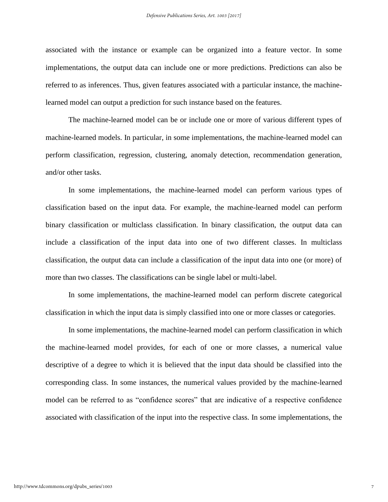associated with the instance or example can be organized into a feature vector. In some implementations, the output data can include one or more predictions. Predictions can also be referred to as inferences. Thus, given features associated with a particular instance, the machinelearned model can output a prediction for such instance based on the features.

The machine-learned model can be or include one or more of various different types of machine-learned models. In particular, in some implementations, the machine-learned model can perform classification, regression, clustering, anomaly detection, recommendation generation, and/or other tasks.

In some implementations, the machine-learned model can perform various types of classification based on the input data. For example, the machine-learned model can perform binary classification or multiclass classification. In binary classification, the output data can include a classification of the input data into one of two different classes. In multiclass classification, the output data can include a classification of the input data into one (or more) of more than two classes. The classifications can be single label or multi-label.

In some implementations, the machine-learned model can perform discrete categorical classification in which the input data is simply classified into one or more classes or categories.

In some implementations, the machine-learned model can perform classification in which the machine-learned model provides, for each of one or more classes, a numerical value descriptive of a degree to which it is believed that the input data should be classified into the corresponding class. In some instances, the numerical values provided by the machine-learned model can be referred to as "confidence scores" that are indicative of a respective confidence associated with classification of the input into the respective class. In some implementations, the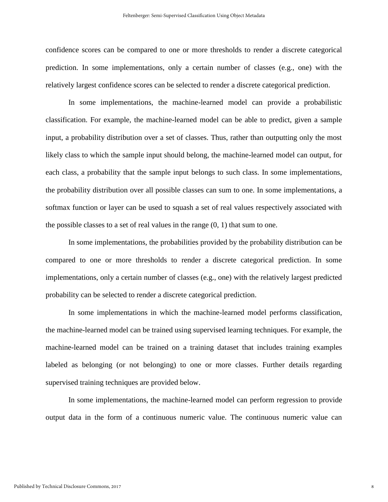confidence scores can be compared to one or more thresholds to render a discrete categorical prediction. In some implementations, only a certain number of classes (e.g., one) with the relatively largest confidence scores can be selected to render a discrete categorical prediction.

In some implementations, the machine-learned model can provide a probabilistic classification. For example, the machine-learned model can be able to predict, given a sample input, a probability distribution over a set of classes. Thus, rather than outputting only the most likely class to which the sample input should belong, the machine-learned model can output, for each class, a probability that the sample input belongs to such class. In some implementations, the probability distribution over all possible classes can sum to one. In some implementations, a softmax function or layer can be used to squash a set of real values respectively associated with the possible classes to a set of real values in the range  $(0, 1)$  that sum to one.

In some implementations, the probabilities provided by the probability distribution can be compared to one or more thresholds to render a discrete categorical prediction. In some implementations, only a certain number of classes (e.g., one) with the relatively largest predicted probability can be selected to render a discrete categorical prediction.

In some implementations in which the machine-learned model performs classification, the machine-learned model can be trained using supervised learning techniques. For example, the machine-learned model can be trained on a training dataset that includes training examples labeled as belonging (or not belonging) to one or more classes. Further details regarding supervised training techniques are provided below.

In some implementations, the machine-learned model can perform regression to provide output data in the form of a continuous numeric value. The continuous numeric value can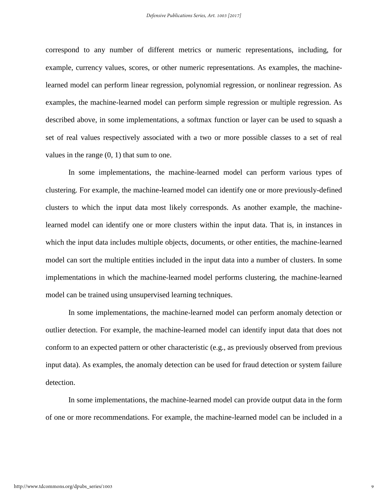correspond to any number of different metrics or numeric representations, including, for example, currency values, scores, or other numeric representations. As examples, the machinelearned model can perform linear regression, polynomial regression, or nonlinear regression. As examples, the machine-learned model can perform simple regression or multiple regression. As described above, in some implementations, a softmax function or layer can be used to squash a set of real values respectively associated with a two or more possible classes to a set of real values in the range (0, 1) that sum to one.

In some implementations, the machine-learned model can perform various types of clustering. For example, the machine-learned model can identify one or more previously-defined clusters to which the input data most likely corresponds. As another example, the machinelearned model can identify one or more clusters within the input data. That is, in instances in which the input data includes multiple objects, documents, or other entities, the machine-learned model can sort the multiple entities included in the input data into a number of clusters. In some implementations in which the machine-learned model performs clustering, the machine-learned model can be trained using unsupervised learning techniques.

In some implementations, the machine-learned model can perform anomaly detection or outlier detection. For example, the machine-learned model can identify input data that does not conform to an expected pattern or other characteristic (e.g., as previously observed from previous input data). As examples, the anomaly detection can be used for fraud detection or system failure detection.

In some implementations, the machine-learned model can provide output data in the form of one or more recommendations. For example, the machine-learned model can be included in a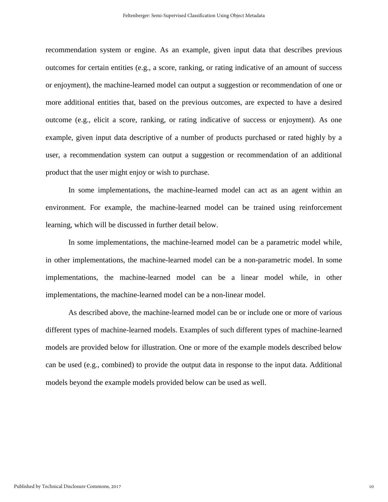recommendation system or engine. As an example, given input data that describes previous outcomes for certain entities (e.g., a score, ranking, or rating indicative of an amount of success or enjoyment), the machine-learned model can output a suggestion or recommendation of one or more additional entities that, based on the previous outcomes, are expected to have a desired outcome (e.g., elicit a score, ranking, or rating indicative of success or enjoyment). As one example, given input data descriptive of a number of products purchased or rated highly by a user, a recommendation system can output a suggestion or recommendation of an additional product that the user might enjoy or wish to purchase.

In some implementations, the machine-learned model can act as an agent within an environment. For example, the machine-learned model can be trained using reinforcement learning, which will be discussed in further detail below.

In some implementations, the machine-learned model can be a parametric model while, in other implementations, the machine-learned model can be a non-parametric model. In some implementations, the machine-learned model can be a linear model while, in other implementations, the machine-learned model can be a non-linear model.

As described above, the machine-learned model can be or include one or more of various different types of machine-learned models. Examples of such different types of machine-learned models are provided below for illustration. One or more of the example models described below can be used (e.g., combined) to provide the output data in response to the input data. Additional models beyond the example models provided below can be used as well.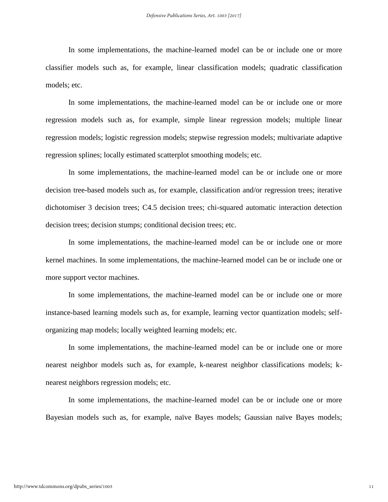In some implementations, the machine-learned model can be or include one or more classifier models such as, for example, linear classification models; quadratic classification models; etc.

In some implementations, the machine-learned model can be or include one or more regression models such as, for example, simple linear regression models; multiple linear regression models; logistic regression models; stepwise regression models; multivariate adaptive regression splines; locally estimated scatterplot smoothing models; etc.

In some implementations, the machine-learned model can be or include one or more decision tree-based models such as, for example, classification and/or regression trees; iterative dichotomiser 3 decision trees; C4.5 decision trees; chi-squared automatic interaction detection decision trees; decision stumps; conditional decision trees; etc.

In some implementations, the machine-learned model can be or include one or more kernel machines. In some implementations, the machine-learned model can be or include one or more support vector machines.

In some implementations, the machine-learned model can be or include one or more instance-based learning models such as, for example, learning vector quantization models; selforganizing map models; locally weighted learning models; etc.

In some implementations, the machine-learned model can be or include one or more nearest neighbor models such as, for example, k-nearest neighbor classifications models; knearest neighbors regression models; etc.

In some implementations, the machine-learned model can be or include one or more Bayesian models such as, for example, naïve Bayes models; Gaussian naïve Bayes models;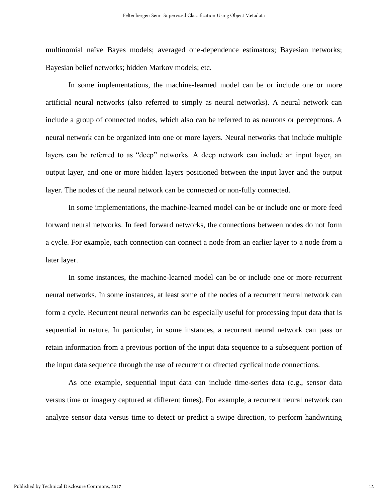multinomial naïve Bayes models; averaged one-dependence estimators; Bayesian networks; Bayesian belief networks; hidden Markov models; etc.

In some implementations, the machine-learned model can be or include one or more artificial neural networks (also referred to simply as neural networks). A neural network can include a group of connected nodes, which also can be referred to as neurons or perceptrons. A neural network can be organized into one or more layers. Neural networks that include multiple layers can be referred to as "deep" networks. A deep network can include an input layer, an output layer, and one or more hidden layers positioned between the input layer and the output layer. The nodes of the neural network can be connected or non-fully connected.

In some implementations, the machine-learned model can be or include one or more feed forward neural networks. In feed forward networks, the connections between nodes do not form a cycle. For example, each connection can connect a node from an earlier layer to a node from a later layer.

In some instances, the machine-learned model can be or include one or more recurrent neural networks. In some instances, at least some of the nodes of a recurrent neural network can form a cycle. Recurrent neural networks can be especially useful for processing input data that is sequential in nature. In particular, in some instances, a recurrent neural network can pass or retain information from a previous portion of the input data sequence to a subsequent portion of the input data sequence through the use of recurrent or directed cyclical node connections.

As one example, sequential input data can include time-series data (e.g., sensor data versus time or imagery captured at different times). For example, a recurrent neural network can analyze sensor data versus time to detect or predict a swipe direction, to perform handwriting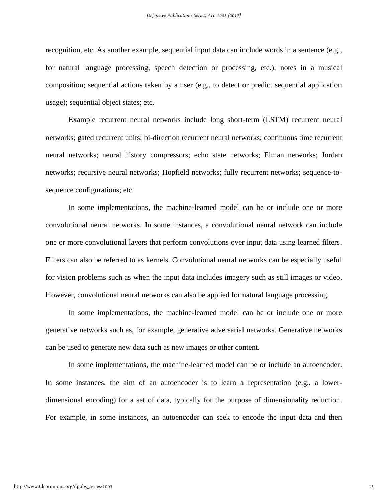recognition, etc. As another example, sequential input data can include words in a sentence (e.g., for natural language processing, speech detection or processing, etc.); notes in a musical composition; sequential actions taken by a user (e.g., to detect or predict sequential application usage); sequential object states; etc.

Example recurrent neural networks include long short-term (LSTM) recurrent neural networks; gated recurrent units; bi-direction recurrent neural networks; continuous time recurrent neural networks; neural history compressors; echo state networks; Elman networks; Jordan networks; recursive neural networks; Hopfield networks; fully recurrent networks; sequence-tosequence configurations; etc.

In some implementations, the machine-learned model can be or include one or more convolutional neural networks. In some instances, a convolutional neural network can include one or more convolutional layers that perform convolutions over input data using learned filters. Filters can also be referred to as kernels. Convolutional neural networks can be especially useful for vision problems such as when the input data includes imagery such as still images or video. However, convolutional neural networks can also be applied for natural language processing.

In some implementations, the machine-learned model can be or include one or more generative networks such as, for example, generative adversarial networks. Generative networks can be used to generate new data such as new images or other content.

In some implementations, the machine-learned model can be or include an autoencoder. In some instances, the aim of an autoencoder is to learn a representation (e.g., a lowerdimensional encoding) for a set of data, typically for the purpose of dimensionality reduction. For example, in some instances, an autoencoder can seek to encode the input data and then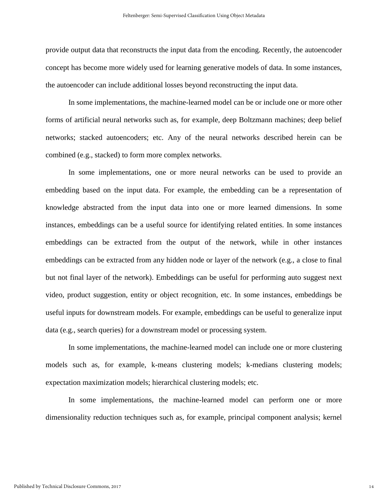provide output data that reconstructs the input data from the encoding. Recently, the autoencoder concept has become more widely used for learning generative models of data. In some instances, the autoencoder can include additional losses beyond reconstructing the input data.

In some implementations, the machine-learned model can be or include one or more other forms of artificial neural networks such as, for example, deep Boltzmann machines; deep belief networks; stacked autoencoders; etc. Any of the neural networks described herein can be combined (e.g., stacked) to form more complex networks.

In some implementations, one or more neural networks can be used to provide an embedding based on the input data. For example, the embedding can be a representation of knowledge abstracted from the input data into one or more learned dimensions. In some instances, embeddings can be a useful source for identifying related entities. In some instances embeddings can be extracted from the output of the network, while in other instances embeddings can be extracted from any hidden node or layer of the network (e.g., a close to final but not final layer of the network). Embeddings can be useful for performing auto suggest next video, product suggestion, entity or object recognition, etc. In some instances, embeddings be useful inputs for downstream models. For example, embeddings can be useful to generalize input data (e.g., search queries) for a downstream model or processing system.

In some implementations, the machine-learned model can include one or more clustering models such as, for example, k-means clustering models; k-medians clustering models; expectation maximization models; hierarchical clustering models; etc.

In some implementations, the machine-learned model can perform one or more dimensionality reduction techniques such as, for example, principal component analysis; kernel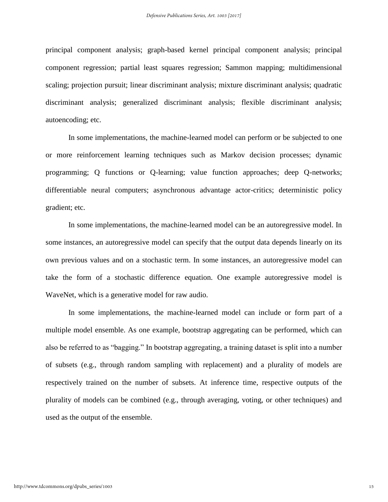principal component analysis; graph-based kernel principal component analysis; principal component regression; partial least squares regression; Sammon mapping; multidimensional scaling; projection pursuit; linear discriminant analysis; mixture discriminant analysis; quadratic discriminant analysis; generalized discriminant analysis; flexible discriminant analysis; autoencoding; etc.

In some implementations, the machine-learned model can perform or be subjected to one or more reinforcement learning techniques such as Markov decision processes; dynamic programming; Q functions or Q-learning; value function approaches; deep Q-networks; differentiable neural computers; asynchronous advantage actor-critics; deterministic policy gradient; etc.

In some implementations, the machine-learned model can be an autoregressive model. In some instances, an autoregressive model can specify that the output data depends linearly on its own previous values and on a stochastic term. In some instances, an autoregressive model can take the form of a stochastic difference equation. One example autoregressive model is WaveNet, which is a generative model for raw audio.

In some implementations, the machine-learned model can include or form part of a multiple model ensemble. As one example, bootstrap aggregating can be performed, which can also be referred to as "bagging." In bootstrap aggregating, a training dataset is split into a number of subsets (e.g., through random sampling with replacement) and a plurality of models are respectively trained on the number of subsets. At inference time, respective outputs of the plurality of models can be combined (e.g., through averaging, voting, or other techniques) and used as the output of the ensemble.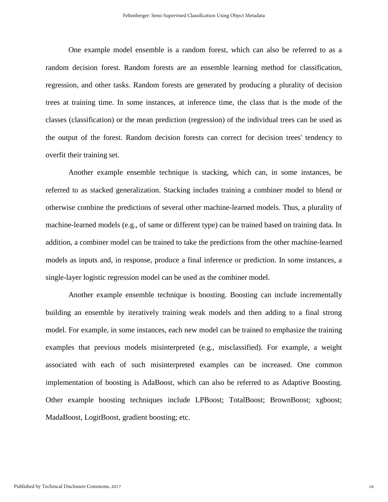One example model ensemble is a random forest, which can also be referred to as a random decision forest. Random forests are an ensemble learning method for classification, regression, and other tasks. Random forests are generated by producing a plurality of decision trees at training time. In some instances, at inference time, the class that is the mode of the classes (classification) or the mean prediction (regression) of the individual trees can be used as the output of the forest. Random decision forests can correct for decision trees' tendency to overfit their training set.

Another example ensemble technique is stacking, which can, in some instances, be referred to as stacked generalization. Stacking includes training a combiner model to blend or otherwise combine the predictions of several other machine-learned models. Thus, a plurality of machine-learned models (e.g., of same or different type) can be trained based on training data. In addition, a combiner model can be trained to take the predictions from the other machine-learned models as inputs and, in response, produce a final inference or prediction. In some instances, a single-layer logistic regression model can be used as the combiner model.

Another example ensemble technique is boosting. Boosting can include incrementally building an ensemble by iteratively training weak models and then adding to a final strong model. For example, in some instances, each new model can be trained to emphasize the training examples that previous models misinterpreted (e.g., misclassified). For example, a weight associated with each of such misinterpreted examples can be increased. One common implementation of boosting is AdaBoost, which can also be referred to as Adaptive Boosting. Other example boosting techniques include LPBoost; TotalBoost; BrownBoost; xgboost; MadaBoost, LogitBoost, gradient boosting; etc.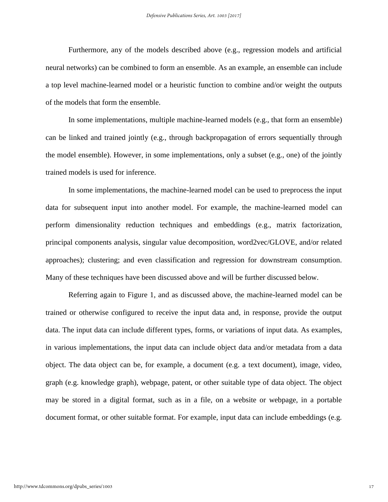Furthermore, any of the models described above (e.g., regression models and artificial neural networks) can be combined to form an ensemble. As an example, an ensemble can include a top level machine-learned model or a heuristic function to combine and/or weight the outputs of the models that form the ensemble.

In some implementations, multiple machine-learned models (e.g., that form an ensemble) can be linked and trained jointly (e.g., through backpropagation of errors sequentially through the model ensemble). However, in some implementations, only a subset (e.g., one) of the jointly trained models is used for inference.

In some implementations, the machine-learned model can be used to preprocess the input data for subsequent input into another model. For example, the machine-learned model can perform dimensionality reduction techniques and embeddings (e.g., matrix factorization, principal components analysis, singular value decomposition, word2vec/GLOVE, and/or related approaches); clustering; and even classification and regression for downstream consumption. Many of these techniques have been discussed above and will be further discussed below.

Referring again to Figure 1, and as discussed above, the machine-learned model can be trained or otherwise configured to receive the input data and, in response, provide the output data. The input data can include different types, forms, or variations of input data. As examples, in various implementations, the input data can include object data and/or metadata from a data object. The data object can be, for example, a document (e.g. a text document), image, video, graph (e.g. knowledge graph), webpage, patent, or other suitable type of data object. The object may be stored in a digital format, such as in a file, on a website or webpage, in a portable document format, or other suitable format. For example, input data can include embeddings (e.g.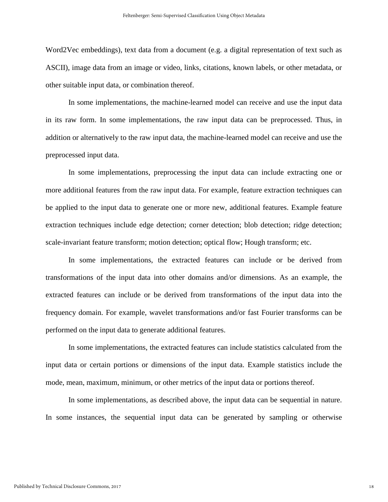Word2Vec embeddings), text data from a document (e.g. a digital representation of text such as ASCII), image data from an image or video, links, citations, known labels, or other metadata, or other suitable input data, or combination thereof.

In some implementations, the machine-learned model can receive and use the input data in its raw form. In some implementations, the raw input data can be preprocessed. Thus, in addition or alternatively to the raw input data, the machine-learned model can receive and use the preprocessed input data.

In some implementations, preprocessing the input data can include extracting one or more additional features from the raw input data. For example, feature extraction techniques can be applied to the input data to generate one or more new, additional features. Example feature extraction techniques include edge detection; corner detection; blob detection; ridge detection; scale-invariant feature transform; motion detection; optical flow; Hough transform; etc.

In some implementations, the extracted features can include or be derived from transformations of the input data into other domains and/or dimensions. As an example, the extracted features can include or be derived from transformations of the input data into the frequency domain. For example, wavelet transformations and/or fast Fourier transforms can be performed on the input data to generate additional features.

In some implementations, the extracted features can include statistics calculated from the input data or certain portions or dimensions of the input data. Example statistics include the mode, mean, maximum, minimum, or other metrics of the input data or portions thereof.

In some implementations, as described above, the input data can be sequential in nature. In some instances, the sequential input data can be generated by sampling or otherwise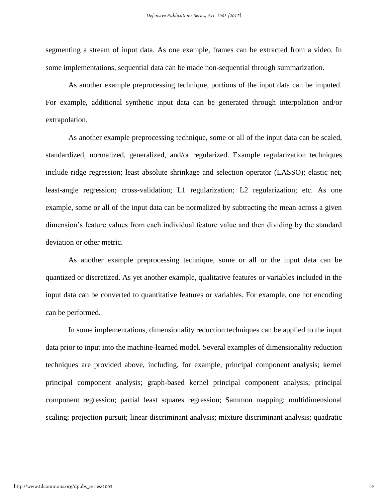segmenting a stream of input data. As one example, frames can be extracted from a video. In some implementations, sequential data can be made non-sequential through summarization.

As another example preprocessing technique, portions of the input data can be imputed. For example, additional synthetic input data can be generated through interpolation and/or extrapolation.

As another example preprocessing technique, some or all of the input data can be scaled, standardized, normalized, generalized, and/or regularized. Example regularization techniques include ridge regression; least absolute shrinkage and selection operator (LASSO); elastic net; least-angle regression; cross-validation; L1 regularization; L2 regularization; etc. As one example, some or all of the input data can be normalized by subtracting the mean across a given dimension's feature values from each individual feature value and then dividing by the standard deviation or other metric.

As another example preprocessing technique, some or all or the input data can be quantized or discretized. As yet another example, qualitative features or variables included in the input data can be converted to quantitative features or variables. For example, one hot encoding can be performed.

In some implementations, dimensionality reduction techniques can be applied to the input data prior to input into the machine-learned model. Several examples of dimensionality reduction techniques are provided above, including, for example, principal component analysis; kernel principal component analysis; graph-based kernel principal component analysis; principal component regression; partial least squares regression; Sammon mapping; multidimensional scaling; projection pursuit; linear discriminant analysis; mixture discriminant analysis; quadratic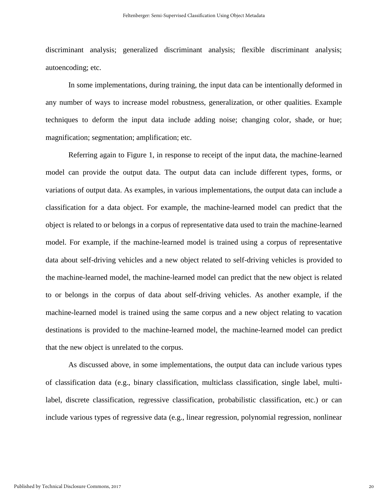discriminant analysis; generalized discriminant analysis; flexible discriminant analysis; autoencoding; etc.

In some implementations, during training, the input data can be intentionally deformed in any number of ways to increase model robustness, generalization, or other qualities. Example techniques to deform the input data include adding noise; changing color, shade, or hue; magnification; segmentation; amplification; etc.

Referring again to Figure 1, in response to receipt of the input data, the machine-learned model can provide the output data. The output data can include different types, forms, or variations of output data. As examples, in various implementations, the output data can include a classification for a data object. For example, the machine-learned model can predict that the object is related to or belongs in a corpus of representative data used to train the machine-learned model. For example, if the machine-learned model is trained using a corpus of representative data about self-driving vehicles and a new object related to self-driving vehicles is provided to the machine-learned model, the machine-learned model can predict that the new object is related to or belongs in the corpus of data about self-driving vehicles. As another example, if the machine-learned model is trained using the same corpus and a new object relating to vacation destinations is provided to the machine-learned model, the machine-learned model can predict that the new object is unrelated to the corpus.

As discussed above, in some implementations, the output data can include various types of classification data (e.g., binary classification, multiclass classification, single label, multilabel, discrete classification, regressive classification, probabilistic classification, etc.) or can include various types of regressive data (e.g., linear regression, polynomial regression, nonlinear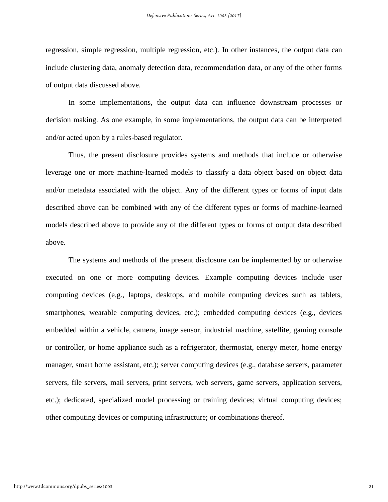regression, simple regression, multiple regression, etc.). In other instances, the output data can include clustering data, anomaly detection data, recommendation data, or any of the other forms of output data discussed above.

In some implementations, the output data can influence downstream processes or decision making. As one example, in some implementations, the output data can be interpreted and/or acted upon by a rules-based regulator.

Thus, the present disclosure provides systems and methods that include or otherwise leverage one or more machine-learned models to classify a data object based on object data and/or metadata associated with the object. Any of the different types or forms of input data described above can be combined with any of the different types or forms of machine-learned models described above to provide any of the different types or forms of output data described above.

The systems and methods of the present disclosure can be implemented by or otherwise executed on one or more computing devices. Example computing devices include user computing devices (e.g., laptops, desktops, and mobile computing devices such as tablets, smartphones, wearable computing devices, etc.); embedded computing devices (e.g., devices embedded within a vehicle, camera, image sensor, industrial machine, satellite, gaming console or controller, or home appliance such as a refrigerator, thermostat, energy meter, home energy manager, smart home assistant, etc.); server computing devices (e.g., database servers, parameter servers, file servers, mail servers, print servers, web servers, game servers, application servers, etc.); dedicated, specialized model processing or training devices; virtual computing devices; other computing devices or computing infrastructure; or combinations thereof.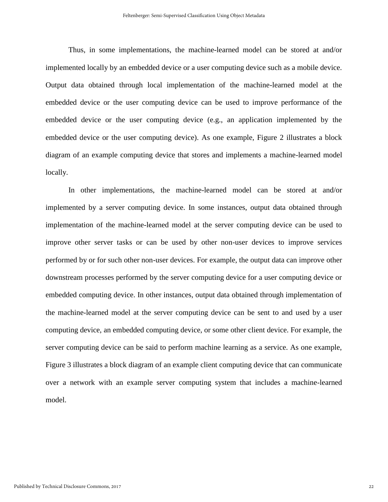Thus, in some implementations, the machine-learned model can be stored at and/or implemented locally by an embedded device or a user computing device such as a mobile device. Output data obtained through local implementation of the machine-learned model at the embedded device or the user computing device can be used to improve performance of the embedded device or the user computing device (e.g., an application implemented by the embedded device or the user computing device). As one example, Figure 2 illustrates a block diagram of an example computing device that stores and implements a machine-learned model locally.

In other implementations, the machine-learned model can be stored at and/or implemented by a server computing device. In some instances, output data obtained through implementation of the machine-learned model at the server computing device can be used to improve other server tasks or can be used by other non-user devices to improve services performed by or for such other non-user devices. For example, the output data can improve other downstream processes performed by the server computing device for a user computing device or embedded computing device. In other instances, output data obtained through implementation of the machine-learned model at the server computing device can be sent to and used by a user computing device, an embedded computing device, or some other client device. For example, the server computing device can be said to perform machine learning as a service. As one example, Figure 3 illustrates a block diagram of an example client computing device that can communicate over a network with an example server computing system that includes a machine-learned model.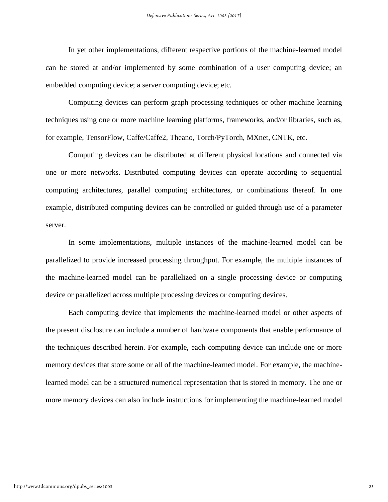In yet other implementations, different respective portions of the machine-learned model can be stored at and/or implemented by some combination of a user computing device; an embedded computing device; a server computing device; etc.

Computing devices can perform graph processing techniques or other machine learning techniques using one or more machine learning platforms, frameworks, and/or libraries, such as, for example, TensorFlow, Caffe/Caffe2, Theano, Torch/PyTorch, MXnet, CNTK, etc.

Computing devices can be distributed at different physical locations and connected via one or more networks. Distributed computing devices can operate according to sequential computing architectures, parallel computing architectures, or combinations thereof. In one example, distributed computing devices can be controlled or guided through use of a parameter server.

In some implementations, multiple instances of the machine-learned model can be parallelized to provide increased processing throughput. For example, the multiple instances of the machine-learned model can be parallelized on a single processing device or computing device or parallelized across multiple processing devices or computing devices.

Each computing device that implements the machine-learned model or other aspects of the present disclosure can include a number of hardware components that enable performance of the techniques described herein. For example, each computing device can include one or more memory devices that store some or all of the machine-learned model. For example, the machinelearned model can be a structured numerical representation that is stored in memory. The one or more memory devices can also include instructions for implementing the machine-learned model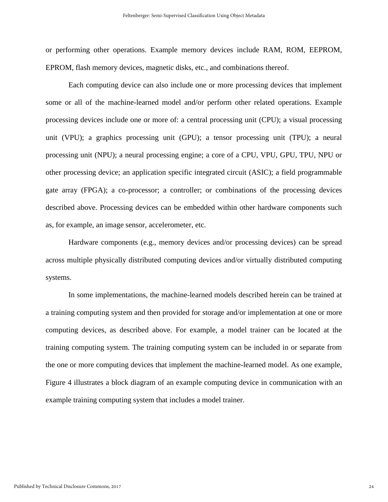or performing other operations. Example memory devices include RAM, ROM, EEPROM, EPROM, flash memory devices, magnetic disks, etc., and combinations thereof.

Each computing device can also include one or more processing devices that implement some or all of the machine-learned model and/or perform other related operations. Example processing devices include one or more of: a central processing unit (CPU); a visual processing unit (VPU); a graphics processing unit (GPU); a tensor processing unit (TPU); a neural processing unit (NPU); a neural processing engine; a core of a CPU, VPU, GPU, TPU, NPU or other processing device; an application specific integrated circuit (ASIC); a field programmable gate array (FPGA); a co-processor; a controller; or combinations of the processing devices described above. Processing devices can be embedded within other hardware components such as, for example, an image sensor, accelerometer, etc.

Hardware components (e.g., memory devices and/or processing devices) can be spread across multiple physically distributed computing devices and/or virtually distributed computing systems.

In some implementations, the machine-learned models described herein can be trained at a training computing system and then provided for storage and/or implementation at one or more computing devices, as described above. For example, a model trainer can be located at the training computing system. The training computing system can be included in or separate from the one or more computing devices that implement the machine-learned model. As one example, Figure 4 illustrates a block diagram of an example computing device in communication with an example training computing system that includes a model trainer.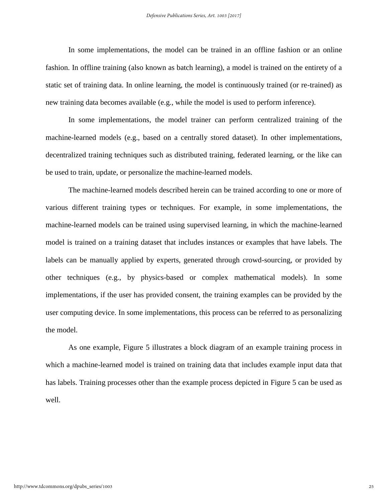In some implementations, the model can be trained in an offline fashion or an online fashion. In offline training (also known as batch learning), a model is trained on the entirety of a static set of training data. In online learning, the model is continuously trained (or re-trained) as new training data becomes available (e.g., while the model is used to perform inference).

In some implementations, the model trainer can perform centralized training of the machine-learned models (e.g., based on a centrally stored dataset). In other implementations, decentralized training techniques such as distributed training, federated learning, or the like can be used to train, update, or personalize the machine-learned models.

The machine-learned models described herein can be trained according to one or more of various different training types or techniques. For example, in some implementations, the machine-learned models can be trained using supervised learning, in which the machine-learned model is trained on a training dataset that includes instances or examples that have labels. The labels can be manually applied by experts, generated through crowd-sourcing, or provided by other techniques (e.g., by physics-based or complex mathematical models). In some implementations, if the user has provided consent, the training examples can be provided by the user computing device. In some implementations, this process can be referred to as personalizing the model.

As one example, Figure 5 illustrates a block diagram of an example training process in which a machine-learned model is trained on training data that includes example input data that has labels. Training processes other than the example process depicted in Figure 5 can be used as well.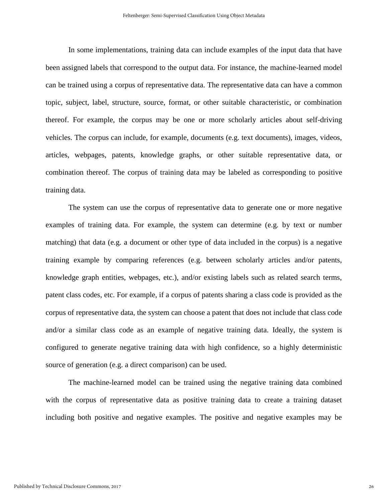In some implementations, training data can include examples of the input data that have been assigned labels that correspond to the output data. For instance, the machine-learned model can be trained using a corpus of representative data. The representative data can have a common topic, subject, label, structure, source, format, or other suitable characteristic, or combination thereof. For example, the corpus may be one or more scholarly articles about self-driving vehicles. The corpus can include, for example, documents (e.g. text documents), images, videos, articles, webpages, patents, knowledge graphs, or other suitable representative data, or combination thereof. The corpus of training data may be labeled as corresponding to positive training data.

The system can use the corpus of representative data to generate one or more negative examples of training data. For example, the system can determine (e.g. by text or number matching) that data (e.g. a document or other type of data included in the corpus) is a negative training example by comparing references (e.g. between scholarly articles and/or patents, knowledge graph entities, webpages, etc.), and/or existing labels such as related search terms, patent class codes, etc. For example, if a corpus of patents sharing a class code is provided as the corpus of representative data, the system can choose a patent that does not include that class code and/or a similar class code as an example of negative training data. Ideally, the system is configured to generate negative training data with high confidence, so a highly deterministic source of generation (e.g. a direct comparison) can be used.

The machine-learned model can be trained using the negative training data combined with the corpus of representative data as positive training data to create a training dataset including both positive and negative examples. The positive and negative examples may be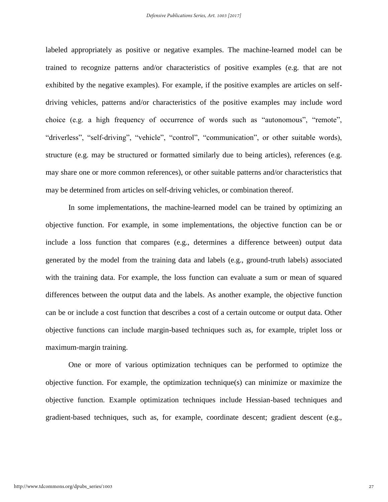labeled appropriately as positive or negative examples. The machine-learned model can be trained to recognize patterns and/or characteristics of positive examples (e.g. that are not exhibited by the negative examples). For example, if the positive examples are articles on selfdriving vehicles, patterns and/or characteristics of the positive examples may include word choice (e.g. a high frequency of occurrence of words such as "autonomous", "remote", "driverless", "self-driving", "vehicle", "control", "communication", or other suitable words), structure (e.g. may be structured or formatted similarly due to being articles), references (e.g. may share one or more common references), or other suitable patterns and/or characteristics that may be determined from articles on self-driving vehicles, or combination thereof.

In some implementations, the machine-learned model can be trained by optimizing an objective function. For example, in some implementations, the objective function can be or include a loss function that compares (e.g., determines a difference between) output data generated by the model from the training data and labels (e.g., ground-truth labels) associated with the training data. For example, the loss function can evaluate a sum or mean of squared differences between the output data and the labels. As another example, the objective function can be or include a cost function that describes a cost of a certain outcome or output data. Other objective functions can include margin-based techniques such as, for example, triplet loss or maximum-margin training.

One or more of various optimization techniques can be performed to optimize the objective function. For example, the optimization technique(s) can minimize or maximize the objective function. Example optimization techniques include Hessian-based techniques and gradient-based techniques, such as, for example, coordinate descent; gradient descent (e.g.,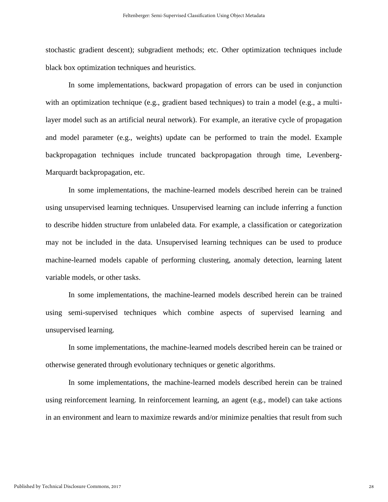stochastic gradient descent); subgradient methods; etc. Other optimization techniques include black box optimization techniques and heuristics.

In some implementations, backward propagation of errors can be used in conjunction with an optimization technique (e.g., gradient based techniques) to train a model (e.g., a multilayer model such as an artificial neural network). For example, an iterative cycle of propagation and model parameter (e.g., weights) update can be performed to train the model. Example backpropagation techniques include truncated backpropagation through time, Levenberg-Marquardt backpropagation, etc.

In some implementations, the machine-learned models described herein can be trained using unsupervised learning techniques. Unsupervised learning can include inferring a function to describe hidden structure from unlabeled data. For example, a classification or categorization may not be included in the data. Unsupervised learning techniques can be used to produce machine-learned models capable of performing clustering, anomaly detection, learning latent variable models, or other tasks.

In some implementations, the machine-learned models described herein can be trained using semi-supervised techniques which combine aspects of supervised learning and unsupervised learning.

In some implementations, the machine-learned models described herein can be trained or otherwise generated through evolutionary techniques or genetic algorithms.

In some implementations, the machine-learned models described herein can be trained using reinforcement learning. In reinforcement learning, an agent (e.g., model) can take actions in an environment and learn to maximize rewards and/or minimize penalties that result from such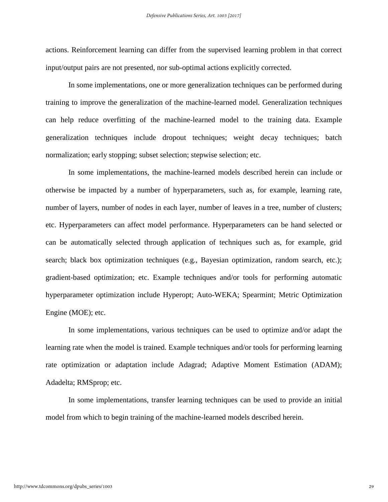actions. Reinforcement learning can differ from the supervised learning problem in that correct input/output pairs are not presented, nor sub-optimal actions explicitly corrected.

In some implementations, one or more generalization techniques can be performed during training to improve the generalization of the machine-learned model. Generalization techniques can help reduce overfitting of the machine-learned model to the training data. Example generalization techniques include dropout techniques; weight decay techniques; batch normalization; early stopping; subset selection; stepwise selection; etc.

In some implementations, the machine-learned models described herein can include or otherwise be impacted by a number of hyperparameters, such as, for example, learning rate, number of layers, number of nodes in each layer, number of leaves in a tree, number of clusters; etc. Hyperparameters can affect model performance. Hyperparameters can be hand selected or can be automatically selected through application of techniques such as, for example, grid search; black box optimization techniques (e.g., Bayesian optimization, random search, etc.); gradient-based optimization; etc. Example techniques and/or tools for performing automatic hyperparameter optimization include Hyperopt; Auto-WEKA; Spearmint; Metric Optimization Engine (MOE); etc.

In some implementations, various techniques can be used to optimize and/or adapt the learning rate when the model is trained. Example techniques and/or tools for performing learning rate optimization or adaptation include Adagrad; Adaptive Moment Estimation (ADAM); Adadelta; RMSprop; etc.

In some implementations, transfer learning techniques can be used to provide an initial model from which to begin training of the machine-learned models described herein.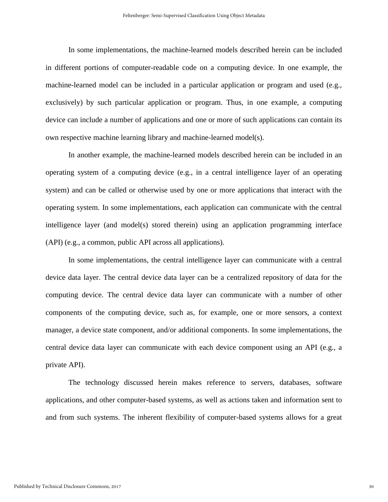In some implementations, the machine-learned models described herein can be included in different portions of computer-readable code on a computing device. In one example, the machine-learned model can be included in a particular application or program and used (e.g., exclusively) by such particular application or program. Thus, in one example, a computing device can include a number of applications and one or more of such applications can contain its own respective machine learning library and machine-learned model(s).

In another example, the machine-learned models described herein can be included in an operating system of a computing device (e.g., in a central intelligence layer of an operating system) and can be called or otherwise used by one or more applications that interact with the operating system. In some implementations, each application can communicate with the central intelligence layer (and model(s) stored therein) using an application programming interface (API) (e.g., a common, public API across all applications).

In some implementations, the central intelligence layer can communicate with a central device data layer. The central device data layer can be a centralized repository of data for the computing device. The central device data layer can communicate with a number of other components of the computing device, such as, for example, one or more sensors, a context manager, a device state component, and/or additional components. In some implementations, the central device data layer can communicate with each device component using an API (e.g., a private API).

The technology discussed herein makes reference to servers, databases, software applications, and other computer-based systems, as well as actions taken and information sent to and from such systems. The inherent flexibility of computer-based systems allows for a great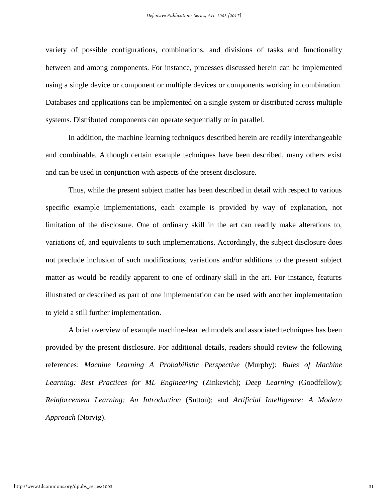variety of possible configurations, combinations, and divisions of tasks and functionality between and among components. For instance, processes discussed herein can be implemented using a single device or component or multiple devices or components working in combination. Databases and applications can be implemented on a single system or distributed across multiple systems. Distributed components can operate sequentially or in parallel.

In addition, the machine learning techniques described herein are readily interchangeable and combinable. Although certain example techniques have been described, many others exist and can be used in conjunction with aspects of the present disclosure.

Thus, while the present subject matter has been described in detail with respect to various specific example implementations, each example is provided by way of explanation, not limitation of the disclosure. One of ordinary skill in the art can readily make alterations to, variations of, and equivalents to such implementations. Accordingly, the subject disclosure does not preclude inclusion of such modifications, variations and/or additions to the present subject matter as would be readily apparent to one of ordinary skill in the art. For instance, features illustrated or described as part of one implementation can be used with another implementation to yield a still further implementation.

A brief overview of example machine-learned models and associated techniques has been provided by the present disclosure. For additional details, readers should review the following references: *Machine Learning A Probabilistic Perspective* (Murphy); *Rules of Machine Learning: Best Practices for ML Engineering* (Zinkevich); *Deep Learning* (Goodfellow); *Reinforcement Learning: An Introduction* (Sutton); and *Artificial Intelligence: A Modern Approach* (Norvig).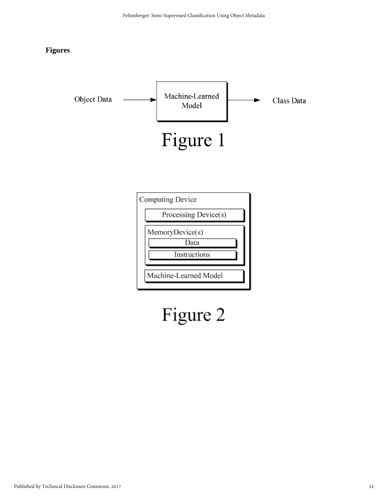#### **Figures**



# Figure 2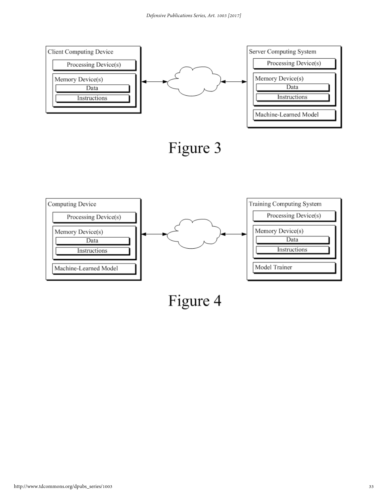

Figure 4

Model Trainer

Machine-Learned Model